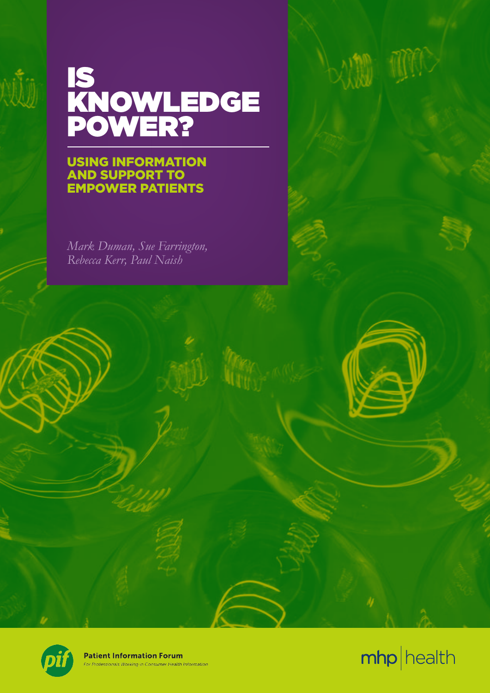

## USING INFORMATION AND SUPPORT TO EMPOWER PATIENTS

*Mark Duman, Sue Farrington, Rebecca Kerr, Paul Naish*



**Patient Information Forum The Section Constructs**<br>The Sensian Information

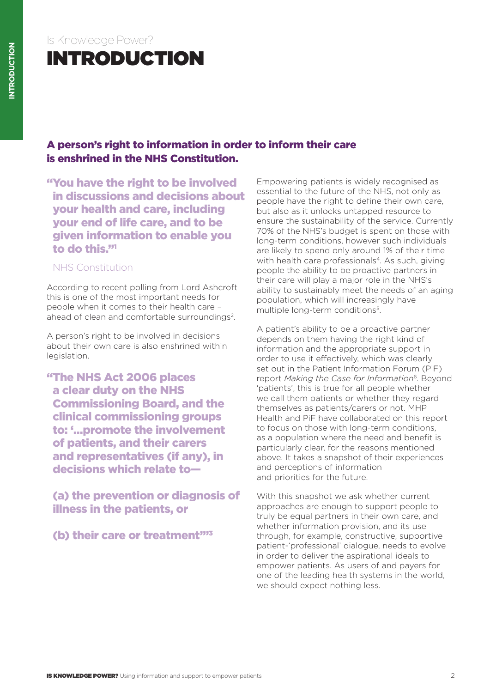## Is Knowledge Power? INTRODUCTION

## A person's right to information in order to inform their care is enshrined in the NHS Constitution.

"You have the right to be involved in discussions and decisions about your health and care, including your end of life care, and to be given information to enable you to do this.<sup>"1</sup>

### NHS Constitution

According to recent polling from Lord Ashcroft this is one of the most important needs for people when it comes to their health care – ahead of clean and comfortable surroundings<sup>2</sup>.

A person's right to be involved in decisions about their own care is also enshrined within legislation.

"The NHS Act 2006 places a clear duty on the NHS Commissioning Board, and the clinical commissioning groups to: '…promote the involvement of patients, and their carers and representatives (if any), in decisions which relate to—

(a) the prevention or diagnosis of illness in the patients, or

(b) their care or treatment"<sup>3</sup>

Empowering patients is widely recognised as essential to the future of the NHS, not only as people have the right to define their own care, but also as it unlocks untapped resource to ensure the sustainability of the service. Currently 70% of the NHS's budget is spent on those with long-term conditions, however such individuals are likely to spend only around 1% of their time with health care professionals<sup>4</sup>. As such, giving people the ability to be proactive partners in their care will play a major role in the NHS's ability to sustainably meet the needs of an aging population, which will increasingly have multiple long-term conditions<sup>5</sup>.

A patient's ability to be a proactive partner depends on them having the right kind of information and the appropriate support in order to use it effectively, which was clearly set out in the Patient Information Forum (PiF) report *Making the Case for Information*6. Beyond 'patients', this is true for all people whether we call them patients or whether they regard themselves as patients/carers or not. MHP Health and PiF have collaborated on this report to focus on those with long-term conditions, as a population where the need and benefit is particularly clear, for the reasons mentioned above. It takes a snapshot of their experiences and perceptions of information and priorities for the future.

With this snapshot we ask whether current approaches are enough to support people to truly be equal partners in their own care, and whether information provision, and its use through, for example, constructive, supportive patient-'professional' dialogue, needs to evolve in order to deliver the aspirational ideals to empower patients. As users of and payers for one of the leading health systems in the world, we should expect nothing less.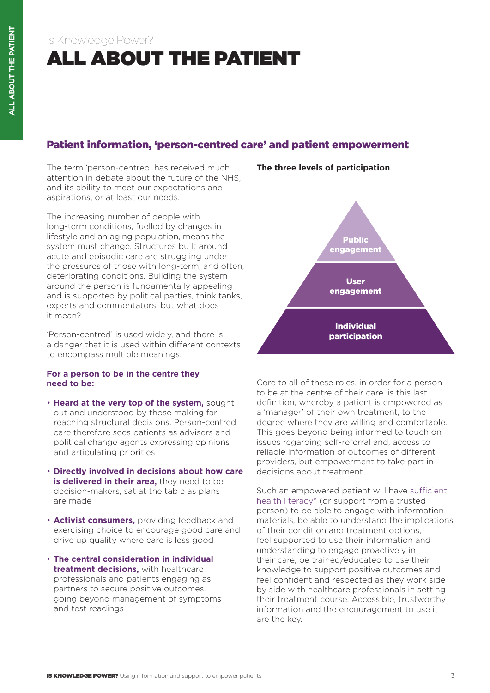## Is Knowledge Power? ALL ABOUT THE PATIENT

## Patient information, 'person-centred care' and patient empowerment

The term 'person-centred' has received much attention in debate about the future of the NHS, and its ability to meet our expectations and aspirations, or at least our needs.

The increasing number of people with long-term conditions, fuelled by changes in lifestyle and an aging population, means the system must change. Structures built around acute and episodic care are struggling under the pressures of those with long-term, and often, deteriorating conditions. Building the system around the person is fundamentally appealing and is supported by political parties, think tanks, experts and commentators; but what does it mean?

'Person-centred' is used widely, and there is a danger that it is used within different contexts to encompass multiple meanings.

#### **For a person to be in the centre they need to be:**

- **Heard at the very top of the system,** sought out and understood by those making farreaching structural decisions. Person-centred care therefore sees patients as advisers and political change agents expressing opinions and articulating priorities
- **Directly involved in decisions about how care**  is delivered in their area, they need to be decision-makers, sat at the table as plans are made
- **Activist consumers,** providing feedback and exercising choice to encourage good care and drive up quality where care is less good
- **The central consideration in individual treatment decisions,** with healthcare professionals and patients engaging as partners to secure positive outcomes, going beyond management of symptoms and test readings



**The three levels of participation**

Core to all of these roles, in order for a person to be at the centre of their care, is this last definition, whereby a patient is empowered as a 'manager' of their own treatment, to the degree where they are willing and comfortable. This goes beyond being informed to touch on issues regarding self-referral and, access to reliable information of outcomes of different providers, but empowerment to take part in decisions about treatment.

Such an empowered patient will have sufficient health literacy\* (or support from a trusted person) to be able to engage with information materials, be able to understand the implications of their condition and treatment options, feel supported to use their information and understanding to engage proactively in their care, be trained/educated to use their knowledge to support positive outcomes and feel confident and respected as they work side by side with healthcare professionals in setting their treatment course. Accessible, trustworthy information and the encouragement to use it are the key.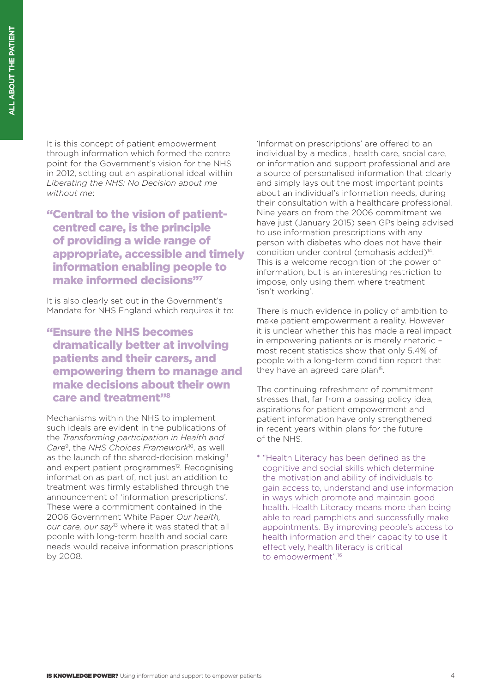It is this concept of patient empowerment through information which formed the centre point for the Government's vision for the NHS in 2012, setting out an aspirational ideal within *Liberating the NHS: No Decision about me without me*:

"Central to the vision of patientcentred care, is the principle of providing a wide range of appropriate, accessible and timely information enabling people to make informed decisions"<sup>7</sup>

It is also clearly set out in the Government's Mandate for NHS England which requires it to:

"Ensure the NHS becomes dramatically better at involving patients and their carers, and empowering them to manage and make decisions about their own care and treatment"8

Mechanisms within the NHS to implement such ideals are evident in the publications of the *Transforming participation in Health and Care*9, the *NHS Choices Framework*10, as well as the launch of the shared-decision making<sup>11</sup> and expert patient programmes<sup>12</sup>. Recognising information as part of, not just an addition to treatment was firmly established through the announcement of 'information prescriptions'. These were a commitment contained in the 2006 Government White Paper *Our health, our care, our say*13 where it was stated that all people with long-term health and social care needs would receive information prescriptions by 2008.

'Information prescriptions' are offered to an individual by a medical, health care, social care, or information and support professional and are a source of personalised information that clearly and simply lays out the most important points about an individual's information needs, during their consultation with a healthcare professional. Nine years on from the 2006 commitment we have just (January 2015) seen GPs being advised to use information prescriptions with any person with diabetes who does not have their condition under control (emphasis added)<sup>14</sup>. This is a welcome recognition of the power of information, but is an interesting restriction to impose, only using them where treatment 'isn't working'.

There is much evidence in policy of ambition to make patient empowerment a reality. However it is unclear whether this has made a real impact in empowering patients or is merely rhetoric – most recent statistics show that only 5.4% of people with a long-term condition report that they have an agreed care plan<sup>15</sup>.

The continuing refreshment of commitment stresses that, far from a passing policy idea, aspirations for patient empowerment and patient information have only strengthened in recent years within plans for the future of the NHS.

\* "Health Literacy has been defined as the cognitive and social skills which determine the motivation and ability of individuals to gain access to, understand and use information in ways which promote and maintain good health. Health Literacy means more than being able to read pamphlets and successfully make appointments. By improving people's access to health information and their capacity to use it effectively, health literacy is critical to empowerment".16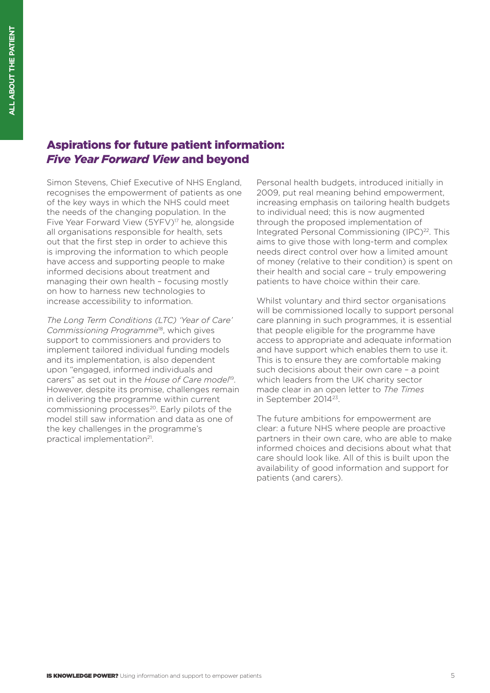## Aspirations for future patient information: *Five Year Forward View* and beyond

Simon Stevens, Chief Executive of NHS England, recognises the empowerment of patients as one of the key ways in which the NHS could meet the needs of the changing population. In the Five Year Forward View (5YFV)<sup>17</sup> he, alongside all organisations responsible for health, sets out that the first step in order to achieve this is improving the information to which people have access and supporting people to make informed decisions about treatment and managing their own health – focusing mostly on how to harness new technologies to increase accessibility to information.

*The Long Term Conditions (LTC) 'Year of Care' Commissioning Programme*18, which gives support to commissioners and providers to implement tailored individual funding models and its implementation, is also dependent upon "engaged, informed individuals and carers" as set out in the *House of Care model*19. However, despite its promise, challenges remain in delivering the programme within current commissioning processes<sup>20</sup>. Early pilots of the model still saw information and data as one of the key challenges in the programme's practical implementation21.

Personal health budgets, introduced initially in 2009, put real meaning behind empowerment, increasing emphasis on tailoring health budgets to individual need; this is now augmented through the proposed implementation of Integrated Personal Commissioning (IPC)<sup>22</sup>. This aims to give those with long-term and complex needs direct control over how a limited amount of money (relative to their condition) is spent on their health and social care – truly empowering patients to have choice within their care.

Whilst voluntary and third sector organisations will be commissioned locally to support personal care planning in such programmes, it is essential that people eligible for the programme have access to appropriate and adequate information and have support which enables them to use it. This is to ensure they are comfortable making such decisions about their own care – a point which leaders from the UK charity sector made clear in an open letter to *The Times*  in September 201423.

The future ambitions for empowerment are clear: a future NHS where people are proactive partners in their own care, who are able to make informed choices and decisions about what that care should look like. All of this is built upon the availability of good information and support for patients (and carers).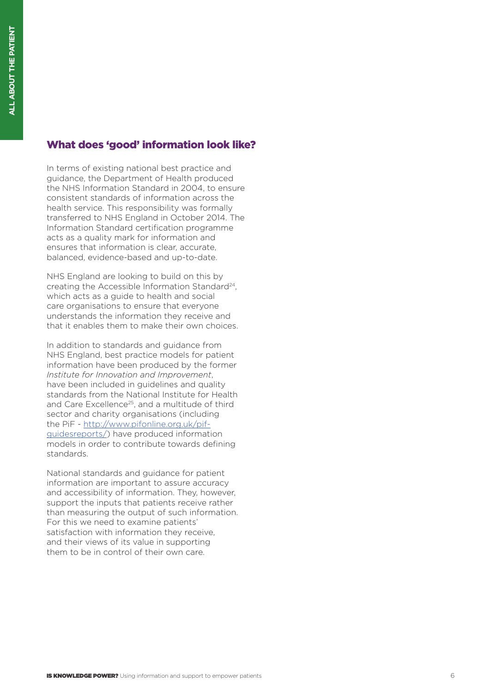## What does 'good' information look like?

In terms of existing national best practice and guidance, the Department of Health produced the NHS Information Standard in 2004, to ensure consistent standards of information across the health service. This responsibility was formally transferred to NHS England in October 2014. The Information Standard certification programme acts as a quality mark for information and ensures that information is clear, accurate, balanced, evidence-based and up-to-date.

NHS England are looking to build on this by creating the Accessible Information Standard<sup>24</sup>. which acts as a guide to health and social care organisations to ensure that everyone understands the information they receive and that it enables them to make their own choices.

In addition to standards and guidance from NHS England, best practice models for patient information have been produced by the former *Institute for Innovation and Improvement*, have been included in guidelines and quality standards from the National Institute for Health and Care Excellence<sup>25</sup>, and a multitude of third sector and charity organisations (including the PiF - [http://www.pifonline.org.uk/pif](http://www.pifonline.org.uk/pif-guidesreports/) )[guidesreports/\)](http://www.pifonline.org.uk/pif-guidesreports/) ) have produced information models in order to contribute towards defining standards.

National standards and guidance for patient information are important to assure accuracy and accessibility of information. They, however, support the inputs that patients receive rather than measuring the output of such information. For this we need to examine patients' satisfaction with information they receive, and their views of its value in supporting them to be in control of their own care.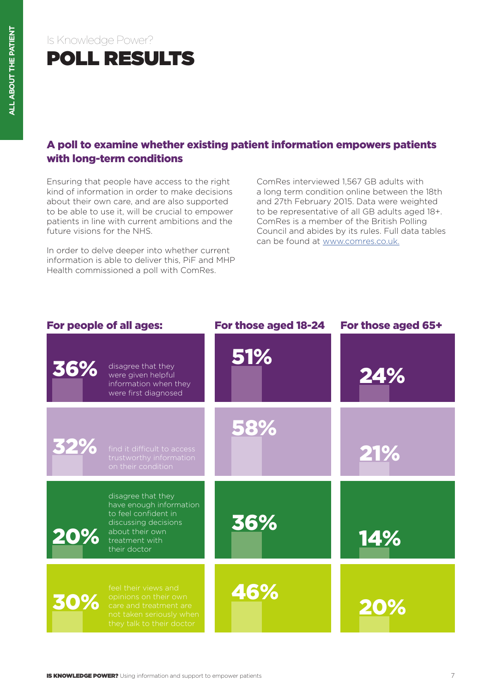Is Knowledge Power? POLL RESULTS

## A poll to examine whether existing patient information empowers patients with long-term conditions

Ensuring that people have access to the right kind of information in order to make decisions about their own care, and are also supported to be able to use it, will be crucial to empower patients in line with current ambitions and the future visions for the NHS.

In order to delve deeper into whether current information is able to deliver this, PiF and MHP Health commissioned a poll with ComRes.

ComRes interviewed 1,567 GB adults with a long term condition online between the 18th and 27th February 2015. Data were weighted to be representative of all GB adults aged 18+. ComRes is a member of the British Polling Council and abides by its rules. Full data tables can be found at [www.comres.co.uk.](http://www.comres.co.uk/?p=12784)

| For people of all ages: |                                                                                                                                                    | For those aged 18-24 | For those aged 65+ |
|-------------------------|----------------------------------------------------------------------------------------------------------------------------------------------------|----------------------|--------------------|
| 36%                     | disagree that they<br>were given helpful<br>information when they<br>were first diagnosed                                                          | 51%                  | 24%                |
| 32%                     | find it difficult to access<br>trustworthy information<br>on their condition                                                                       | 58%                  | 21%                |
| 20%                     | disagree that they<br>have enough information<br>to feel confident in<br>discussing decisions<br>about their own<br>treatment with<br>their doctor | 36%                  | 14%                |
| 30%                     | feel their views and<br>opinions on their own<br>care and treatment are<br>not taken seriously when<br>they talk to their doctor                   | 46%                  | 20%                |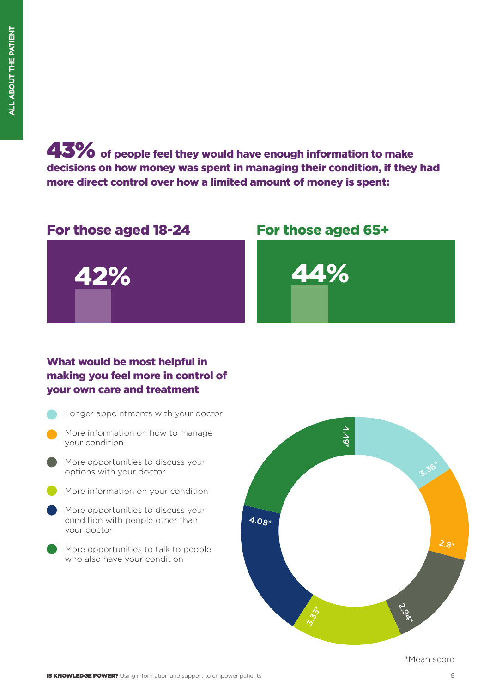43% of people feel they would have enough information to make decisions on how money was spent in managing their condition, if they had more direct control over how a limited amount of money is spent:

## For those aged 18-24 For those aged 65+





## What would be most helpful in making you feel more in control of your own care and treatment

- Longer appointments with your doctor
- More information on how to manage your condition
- More opportunities to discuss your options with your doctor
- **More information on your condition**
- **More opportunities to discuss your** condition with people other than your doctor
- More opportunities to talk to people who also have your condition

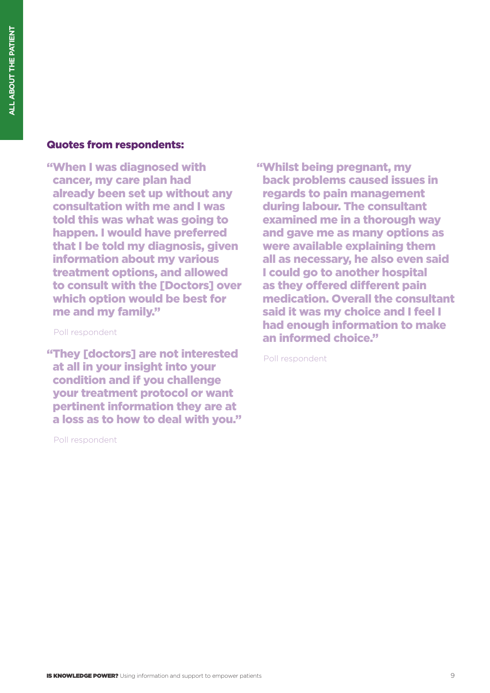### Quotes from respondents:

"When I was diagnosed with cancer, my care plan had already been set up without any consultation with me and I was told this was what was going to happen. I would have preferred that I be told my diagnosis, given information about my various treatment options, and allowed to consult with the [Doctors] over which option would be best for me and my family."

#### Poll respondent

"They [doctors] are not interested at all in your insight into your condition and if you challenge your treatment protocol or want pertinent information they are at a loss as to how to deal with you."

Poll respondent

"Whilst being pregnant, my back problems caused issues in regards to pain management during labour. The consultant examined me in a thorough way and gave me as many options as were available explaining them all as necessary, he also even said I could go to another hospital as they offered different pain medication. Overall the consultant said it was my choice and I feel I had enough information to make an informed choice."

Poll respondent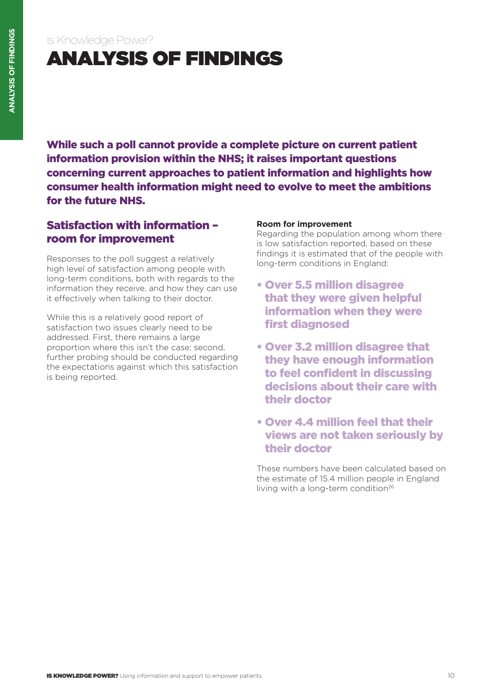## Is Knowledge Power? ANALYSIS OF FINDINGS

While such a poll cannot provide a complete picture on current patient information provision within the NHS; it raises important questions concerning current approaches to patient information and highlights how consumer health information might need to evolve to meet the ambitions for the future NHS.

## Satisfaction with information – room for improvement

Responses to the poll suggest a relatively high level of satisfaction among people with long-term conditions, both with regards to the information they receive, and how they can use it effectively when talking to their doctor.

While this is a relatively good report of satisfaction two issues clearly need to be addressed. First, there remains a large proportion where this isn't the case; second, further probing should be conducted regarding the expectations against which this satisfaction is being reported.

#### **Room for improvement**

Regarding the population among whom there is low satisfaction reported, based on these findings it is estimated that of the people with long-term conditions in England:

- Over 5.5 million disagree that they were given helpful information when they were first diagnosed
- Over 3.2 million disagree that they have enough information to feel confident in discussing decisions about their care with their doctor
- Over 4.4 million feel that their views are not taken seriously by their doctor

These numbers have been calculated based on the estimate of 15.4 million people in England living with a long-term condition<sup>26</sup>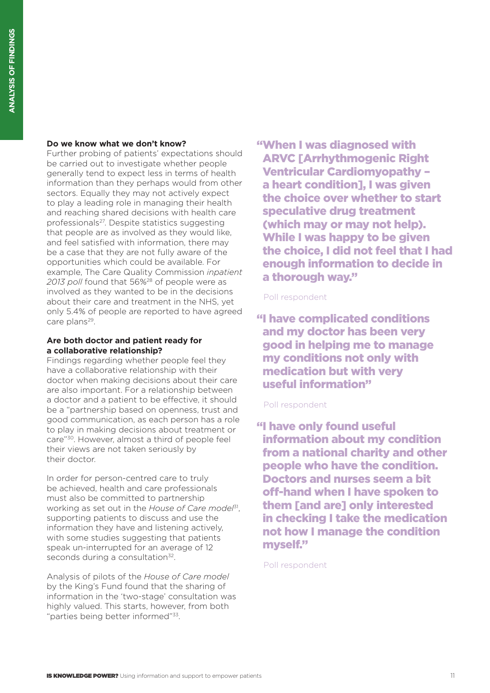#### **Do we know what we don't know?**

Further probing of patients' expectations should be carried out to investigate whether people generally tend to expect less in terms of health information than they perhaps would from other sectors. Equally they may not actively expect to play a leading role in managing their health and reaching shared decisions with health care professionals<sup>27</sup>. Despite statistics suggesting that people are as involved as they would like, and feel satisfied with information, there may be a case that they are not fully aware of the opportunities which could be available. For example, The Care Quality Commission *inpatient 2013 poll* found that 56%28 of people were as involved as they wanted to be in the decisions about their care and treatment in the NHS, yet only 5.4% of people are reported to have agreed care plans<sup>29</sup>.

#### **Are both doctor and patient ready for a collaborative relationship?**

Findings regarding whether people feel they have a collaborative relationship with their doctor when making decisions about their care are also important. For a relationship between a doctor and a patient to be effective, it should be a "partnership based on openness, trust and good communication, as each person has a role to play in making decisions about treatment or care"30. However, almost a third of people feel their views are not taken seriously by their doctor.

In order for person-centred care to truly be achieved, health and care professionals must also be committed to partnership working as set out in the *House of Care model*31, supporting patients to discuss and use the information they have and listening actively, with some studies suggesting that patients speak un-interrupted for an average of 12 seconds during a consultation<sup>32</sup>.

Analysis of pilots of the *House of Care model*  by the King's Fund found that the sharing of information in the 'two-stage' consultation was highly valued. This starts, however, from both "parties being better informed"33.

"When I was diagnosed with ARVC [Arrhythmogenic Right Ventricular Cardiomyopathy – a heart condition]. I was given the choice over whether to start speculative drug treatment (which may or may not help). While I was happy to be given the choice, I did not feel that I had enough information to decide in a thorough way."

#### Poll respondent

"I have complicated conditions and my doctor has been very good in helping me to manage my conditions not only with medication but with very useful information"

#### Poll respondent

"I have only found useful information about my condition from a national charity and other people who have the condition. Doctors and nurses seem a bit off-hand when I have spoken to them [and are] only interested in checking I take the medication not how I manage the condition myself."

Poll respondent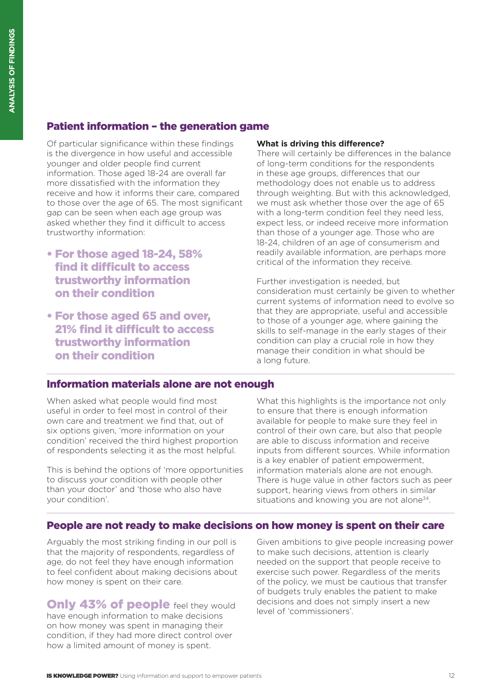## Patient information – the generation game

Of particular significance within these findings is the divergence in how useful and accessible younger and older people find current information. Those aged 18-24 are overall far more dissatisfied with the information they receive and how it informs their care, compared to those over the age of 65. The most significant gap can be seen when each age group was asked whether they find it difficult to access trustworthy information:

- For those aged 18-24, 58% find it difficult to access trustworthy information on their condition
- For those aged 65 and over, 21% find it difficult to access trustworthy information on their condition

#### **What is driving this difference?**

There will certainly be differences in the balance of long-term conditions for the respondents in these age groups, differences that our methodology does not enable us to address through weighting. But with this acknowledged, we must ask whether those over the age of 65 with a long-term condition feel they need less, expect less, or indeed receive more information than those of a younger age. Those who are 18-24, children of an age of consumerism and readily available information, are perhaps more critical of the information they receive.

Further investigation is needed, but consideration must certainly be given to whether current systems of information need to evolve so that they are appropriate, useful and accessible to those of a younger age, where gaining the skills to self-manage in the early stages of their condition can play a crucial role in how they manage their condition in what should be a long future.

### Information materials alone are not enough

When asked what people would find most useful in order to feel most in control of their own care and treatment we find that, out of six options given, 'more information on your condition' received the third highest proportion of respondents selecting it as the most helpful.

This is behind the options of 'more opportunities to discuss your condition with people other than your doctor' and 'those who also have your condition'.

What this highlights is the importance not only to ensure that there is enough information available for people to make sure they feel in control of their own care, but also that people are able to discuss information and receive inputs from different sources. While information is a key enabler of patient empowerment, information materials alone are not enough. There is huge value in other factors such as peer support, hearing views from others in similar situations and knowing you are not alone<sup>34</sup>.

### People are not ready to make decisions on how money is spent on their care

Arguably the most striking finding in our poll is that the majority of respondents, regardless of age, do not feel they have enough information to feel confident about making decisions about how money is spent on their care.

**Only 43% of people** feel they would have enough information to make decisions on how money was spent in managing their condition, if they had more direct control over how a limited amount of money is spent.

Given ambitions to give people increasing power to make such decisions, attention is clearly needed on the support that people receive to exercise such power. Regardless of the merits of the policy, we must be cautious that transfer of budgets truly enables the patient to make decisions and does not simply insert a new level of 'commissioners'.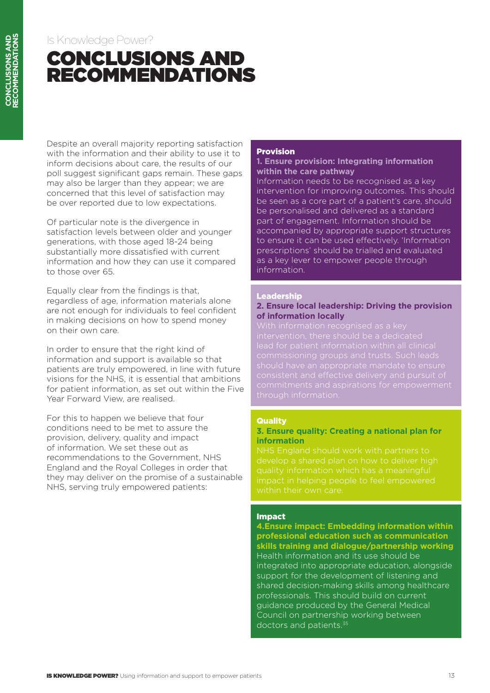## Is Knowledge Power? CONCLUSIONS AND RECOMMENDATIONS

Despite an overall majority reporting satisfaction with the information and their ability to use it to inform decisions about care, the results of our poll suggest significant gaps remain. These gaps may also be larger than they appear; we are concerned that this level of satisfaction may be over reported due to low expectations.

Of particular note is the divergence in satisfaction levels between older and younger generations, with those aged 18-24 being substantially more dissatisfied with current information and how they can use it compared to those over 65.

Equally clear from the findings is that, regardless of age, information materials alone are not enough for individuals to feel confident in making decisions on how to spend money on their own care.

In order to ensure that the right kind of information and support is available so that patients are truly empowered, in line with future visions for the NHS, it is essential that ambitions for patient information, as set out within the Five Year Forward View, are realised.

For this to happen we believe that four conditions need to be met to assure the provision, delivery, quality and impact of information. We set these out as recommendations to the Government, NHS England and the Royal Colleges in order that they may deliver on the promise of a sustainable NHS, serving truly empowered patients:

#### Provision

#### **1. Ensure provision: Integrating information within the care pathway**

Information needs to be recognised as a key intervention for improving outcomes. This should be seen as a core part of a patient's care, should be personalised and delivered as a standard part of engagement. Information should be accompanied by appropriate support structures to ensure it can be used effectively. 'Information prescriptions' should be trialled and evaluated as a key lever to empower people through information.

#### Leadership

#### **2. Ensure local leadership: Driving the provision of information locally**

#### **Quality**

#### **3. Ensure quality: Creating a national plan for information**

#### Impact

**4.Ensure impact: Embedding information within professional education such as communication skills training and dialogue/partnership working**  Health information and its use should be integrated into appropriate education, alongside support for the development of listening and shared decision-making skills among healthcare professionals. This should build on current guidance produced by the General Medical Council on partnership working between doctors and patients.<sup>35</sup>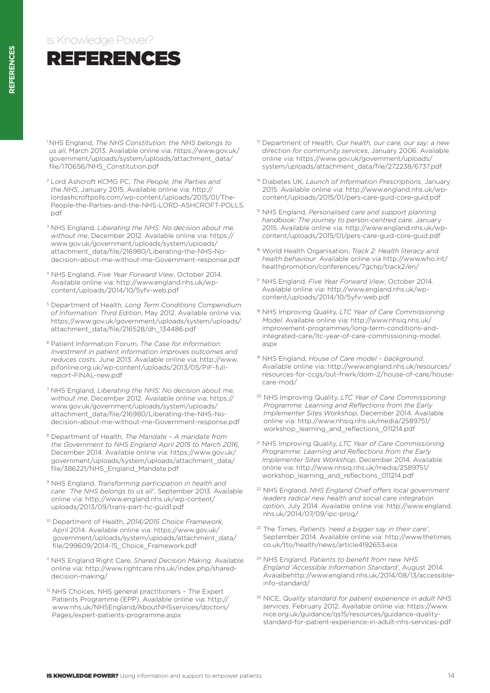1 NHS England, *The NHS Constitution: the NHS belongs to us all*, March 2013. Available online via: https://www.gov.uk/ government/uploads/system/uploads/attachment\_data/ file/170656/NHS\_Constitution.pdf

- <sup>2</sup> Lord Ashcroft KCMG PC, *The People, the Parties and the NHS*, January 2015. Available online via: http:// lordashcroftpolls.com/wp-content/uploads/2015/01/The-People-the-Parties-and-the-NHS-LORD-ASHCROFT-POLLS. pdf
- <sup>3</sup> NHS England, *Liberating the NHS: No decision about me, without me*, December 2012. Available online via: https:// www.gov.uk/government/uploads/system/uploads/ attachment\_data/file/216980/Liberating-the-NHS-Nodecision-about-me-without-me-Government-response.pdf
- <sup>4</sup> NHS England, *Five Year Forward View*, October 2014. Available online via: http://www.england.nhs.uk/wpcontent/uploads/2014/10/5yfv-web.pdf
- <sup>5</sup> Department of Health, *Long Term Conditions Compendium of Information: Third Edition*, May 2012. Available online via: https://www.gov.uk/government/uploads/system/uploads/ attachment\_data/file/216528/dh\_134486.pdf
- <sup>6</sup> Patient Information Forum, *The Case for Information: Investment in patient information improves outcomes and reduces costs*, June 2013. Available online via: http://www. pifonline.org.uk/wp-content/uploads/2013/05/PiF-fullreport-FINAL-new.pdf
- <sup>7</sup> NHS England, *Liberating the NHS: No decision about me, without me*, December 2012. Available online via: https:// www.gov.uk/government/uploads/system/uploads/ attachment\_data/file/216980/Liberating-the-NHS-Nodecision-about-me-without-me-Government-response.pdf
- <sup>8</sup> Department of Health, *The Mandate A mandate from the Government to NHS England April 2015 to March 2016*, December 2014. Available online via: https://www.gov.uk/ government/uploads/system/uploads/attachment\_data/ file/386221/NHS\_England\_Mandate.pdf
- <sup>9</sup> NHS England, *Transforming participation in health and care: 'The NHS belongs to us all'*, September 2013. Available online via: http://www.england.nhs.uk/wp-content/ uploads/2013/09/trans-part-hc-guid1.pdf
- <sup>10</sup> Department of Health, *2014/2015 Choice Framework*, April 2014. Available online via: https://www.gov.uk/ government/uploads/system/uploads/attachment\_data/ file/299609/2014-15\_Choice\_Framework.pdf
- <sup>11</sup> NHS England Right Care, *Shared Decision Making*. Available online via: http://www.rightcare.nhs.uk/index.php/shareddecision-making/
- <sup>12</sup> NHS Choices, NHS general practitioners The Expert Patients Programme (EPP). Available online via: http:// www.nhs.uk/NHSEngland/AboutNHSservices/doctors/ Pages/expert-patients-programme.aspx
- <sup>13</sup> Department of Health, *Our health, our care, our say: a new direction for community services*, January 2006. Available online via: https://www.gov.uk/government/uploads/ system/uploads/attachment\_data/file/272238/6737.pdf
- <sup>14</sup> Diabetes UK, *Launch of Information Prescriptions*, January 2015. Available online via: http://www.england.nhs.uk/wpcontent/uploads/2015/01/pers-care-guid-core-guid.pdf
- <sup>15</sup> NHS England, *Personalised care and support planning handbook: The journey to person-centred care*, January 2015. Available online via: http://www.england.nhs.uk/wpcontent/uploads/2015/01/pers-care-guid-core-guid.pdf
- <sup>16</sup> World Health Organisation, *Track 2: Health literacy and health behaviour*. Available online via http://www.who.int/ healthpromotion/conferences/7gchp/track2/en/
- <sup>17</sup> NHS England, *Five Year Forward View*, October 2014. Available online via: http://www.england.nhs.uk/wpcontent/uploads/2014/10/5yfv-web.pdf
- <sup>18</sup> NHS Improving Quality, *LTC Year of Care Commissioning Model*. Available online via: http://www.nhsiq.nhs.uk/ improvement-programmes/long-term-conditions-andintegrated-care/ltc-year-of-care-commissioning-model. aspx
- <sup>19</sup> NHS England, *House of Care model background*. Available online via: http://www.england.nhs.uk/resources/ resources-for-ccgs/out-frwrk/dom-2/house-of-care/housecare-mod/
- <sup>20</sup> NHS Improving Quality, *LTC Year of Care Commissioning Programme: Learning and Reflections from the Early Implementer Sites Workshop*, December 2014. Available online via: http://www.nhsiq.nhs.uk/media/2589751/ workshop\_learning\_and\_reflections\_011214.pdf
- <sup>21</sup> NHS Improving Quality, *LTC Year of Care Commissioning Programme: Learning and Reflections from the Early Implementer Sites Workshop*, December 2014. Available online via: http://www.nhsiq.nhs.uk/media/2589751/ workshop\_learning\_and\_reflections\_011214.pdf
- <sup>22</sup> NHS England, *NHS England Chief offers local government leaders radical new health and social care integration option*, July 2014. Available online via: http://www.england. nhs.uk/2014/07/09/ipc-prog/
- <sup>23</sup> The Times, *Patients 'need a bigger say in their care'*, September 2014. Available online via: http://www.thetimes. co.uk/tto/health/news/article4192653.ece
- <sup>24</sup> NHS England, *Patients to benefit from new NHS England 'Accessible Information Standard'*, August 2014. Avaialbehttp://www.england.nhs.uk/2014/08/13/accessibleinfo-standard/
- <sup>25</sup> NICE, *Quality standard for patient experience in adult NHS services*, February 2012. Available online via: https://www. nice.org.uk/guidance/qs15/resources/guidance-qualitystandard-for-patient-experience-in-adult-nhs-services-pdf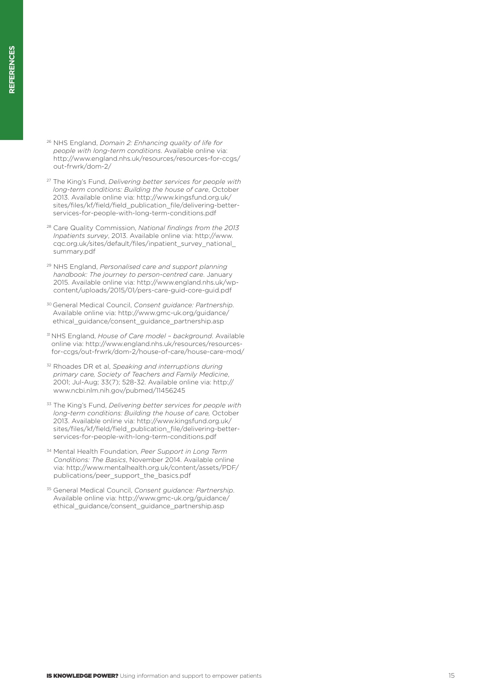- <sup>26</sup> NHS England, *Domain 2: Enhancing quality of life for people with long-term conditions*. Available online via: http://www.england.nhs.uk/resources/resources-for-ccgs/ out-frwrk/dom-2/
- <sup>27</sup> The King's Fund, *Delivering better services for people with long-term conditions: Building the house of care*, October 2013. Available online via: http://www.kingsfund.org.uk/ sites/files/kf/field/field\_publication\_file/delivering-betterservices-for-people-with-long-term-conditions.pdf
- <sup>28</sup> Care Quality Commission, *National findings from the 2013 Inpatients survey*, 2013. Available online via: http://www. cqc.org.uk/sites/default/files/inpatient\_survey\_national\_ summary.pdf
- <sup>29</sup> NHS England, *Personalised care and support planning handbook: The journey to person-centred care*. January 2015. Available online via: http://www.england.nhs.uk/wpcontent/uploads/2015/01/pers-care-guid-core-guid.pdf
- 30 General Medical Council, *Consent guidance: Partnership*. Available online via: http://www.gmc-uk.org/guidance/ ethical\_guidance/consent\_guidance\_partnership.asp
- 31 NHS England, *House of Care model background*. Available online via: http://www.england.nhs.uk/resources/resourcesfor-ccgs/out-frwrk/dom-2/house-of-care/house-care-mod/
- <sup>32</sup> Rhoades DR et al, *Speaking and interruptions during primary care, Society of Teachers and Family Medicine*, 2001; Jul-Aug; 33(7); 528-32. Available online via: http:// www.ncbi.nlm.nih.gov/pubmed/11456245
- <sup>33</sup> The King's Fund, *Delivering better services for people with long-term conditions: Building the house of care,* October 2013. Available online via: http://www.kingsfund.org.uk/ sites/files/kf/field/field\_publication\_file/delivering-betterservices-for-people-with-long-term-conditions.pdf
- <sup>34</sup> Mental Health Foundation, *Peer Support in Long Term Conditions: The Basics*, November 2014. Available online via: http://www.mentalhealth.org.uk/content/assets/PDF/ publications/peer\_support\_the\_basics.pdf
- <sup>35</sup> General Medical Council, *Consent guidance: Partnership*. Available online via: http://www.gmc-uk.org/guidance/ ethical\_guidance/consent\_guidance\_partnership.asp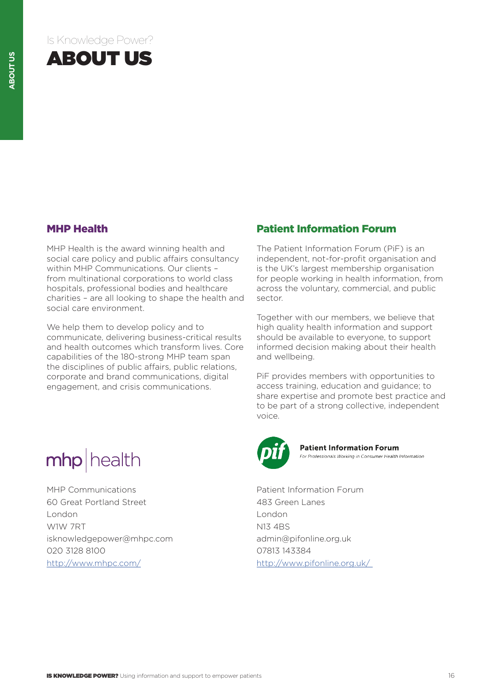### MHP Health

MHP Health is the award winning health and social care policy and public affairs consultancy within MHP Communications. Our clients – from multinational corporations to world class hospitals, professional bodies and healthcare charities – are all looking to shape the health and social care environment.

We help them to develop policy and to communicate, delivering business-critical results and health outcomes which transform lives. Core capabilities of the 180-strong MHP team span the disciplines of public affairs, public relations, corporate and brand communications, digital engagement, and crisis communications.

# mhp health

MHP Communications 60 Great Portland Street London W1W 7RT isknowledgepower@mhpc.com 020 3128 8100 <http://www.mhpc.com/>

## Patient Information Forum

The Patient Information Forum (PiF) is an independent, not-for-profit organisation and is the UK's largest membership organisation for people working in health information, from across the voluntary, commercial, and public sector.

Together with our members, we believe that high quality health information and support should be available to everyone, to support informed decision making about their health and wellbeing.

PiF provides members with opportunities to access training, education and guidance; to share expertise and promote best practice and to be part of a strong collective, independent voice.



**Patient Information Forum For Professionals Working in Consumer Health Information** 

Patient Information Forum 483 Green Lanes London N13 4BS admin@pifonline.org.uk 07813 143384 <http://www.pifonline.org.uk/>